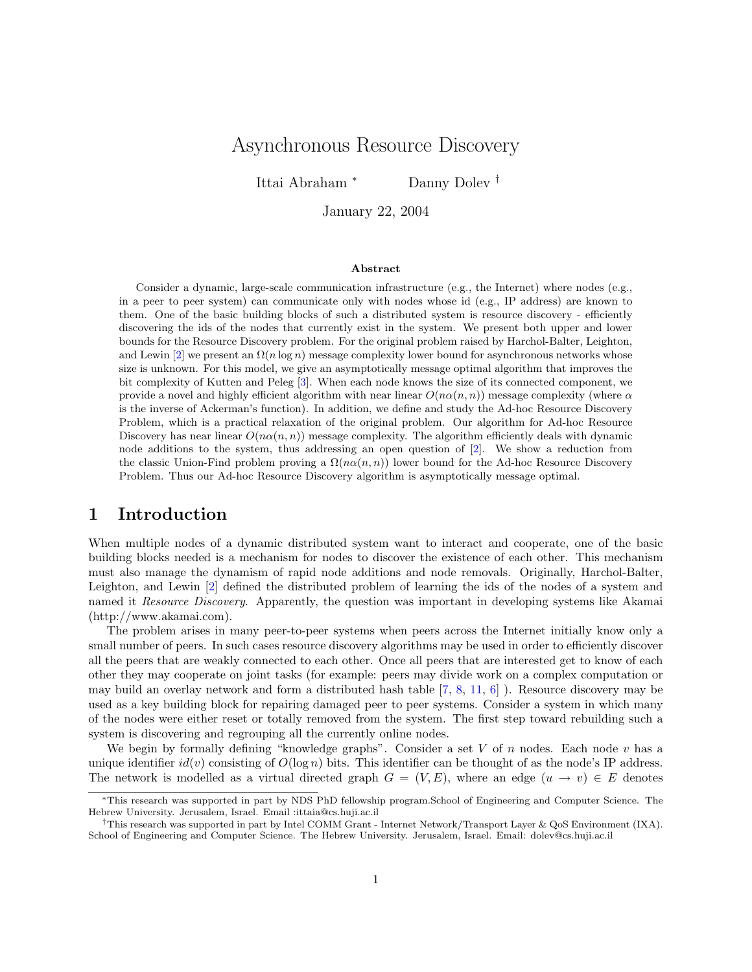# Asynchronous Resource Discovery

Ittai Abraham <sup>∗</sup> Danny Dolev †

January 22, 2004

#### Abstract

Consider a dynamic, large-scale communication infrastructure (e.g., the Internet) where nodes (e.g., in a peer to peer system) can communicate only with nodes whose id (e.g., IP address) are known to them. One of the basic building blocks of such a distributed system is resource discovery - efficiently discovering the ids of the nodes that currently exist in the system. We present both upper and lower bounds for the Resource Discovery problem. For the original problem raised by Harchol-Balter, Leighton, and Lewin [\[2\]](#page-15-0) we present an  $\Omega(n \log n)$  message complexity lower bound for asynchronous networks whose size is unknown. For this model, we give an asymptotically message optimal algorithm that improves the bit complexity of Kutten and Peleg [\[3\]](#page-15-1). When each node knows the size of its connected component, we provide a novel and highly efficient algorithm with near linear  $O(n\alpha(n, n))$  message complexity (where  $\alpha$ is the inverse of Ackerman's function). In addition, we define and study the Ad-hoc Resource Discovery Problem, which is a practical relaxation of the original problem. Our algorithm for Ad-hoc Resource Discovery has near linear  $O(n\alpha(n, n))$  message complexity. The algorithm efficiently deals with dynamic node additions to the system, thus addressing an open question of [\[2\]](#page-15-0). We show a reduction from the classic Union-Find problem proving a  $\Omega(n\alpha(n,n))$  lower bound for the Ad-hoc Resource Discovery Problem. Thus our Ad-hoc Resource Discovery algorithm is asymptotically message optimal.

# 1 Introduction

When multiple nodes of a dynamic distributed system want to interact and cooperate, one of the basic building blocks needed is a mechanism for nodes to discover the existence of each other. This mechanism must also manage the dynamism of rapid node additions and node removals. Originally, Harchol-Balter, Leighton, and Lewin [\[2\]](#page-15-0) defined the distributed problem of learning the ids of the nodes of a system and named it Resource Discovery. Apparently, the question was important in developing systems like Akamai (http://www.akamai.com).

The problem arises in many peer-to-peer systems when peers across the Internet initially know only a small number of peers. In such cases resource discovery algorithms may be used in order to efficiently discover all the peers that are weakly connected to each other. Once all peers that are interested get to know of each other they may cooperate on joint tasks (for example: peers may divide work on a complex computation or may build an overlay network and form a distributed hash table  $[7, 8, 11, 6]$  $[7, 8, 11, 6]$  $[7, 8, 11, 6]$  $[7, 8, 11, 6]$  $[7, 8, 11, 6]$  $[7, 8, 11, 6]$  $[7, 8, 11, 6]$ . Resource discovery may be used as a key building block for repairing damaged peer to peer systems. Consider a system in which many of the nodes were either reset or totally removed from the system. The first step toward rebuilding such a system is discovering and regrouping all the currently online nodes.

We begin by formally defining "knowledge graphs". Consider a set V of n nodes. Each node v has a unique identifier  $id(v)$  consisting of  $O(\log n)$  bits. This identifier can be thought of as the node's IP address. The network is modelled as a virtual directed graph  $G = (V, E)$ , where an edge  $(u \to v) \in E$  denotes

<sup>∗</sup>This research was supported in part by NDS PhD fellowship program.School of Engineering and Computer Science. The Hebrew University. Jerusalem, Israel. Email :ittaia@cs.huji.ac.il

<sup>†</sup>This research was supported in part by Intel COMM Grant - Internet Network/Transport Layer & QoS Environment (IXA). School of Engineering and Computer Science. The Hebrew University. Jerusalem, Israel. Email: dolev@cs.huji.ac.il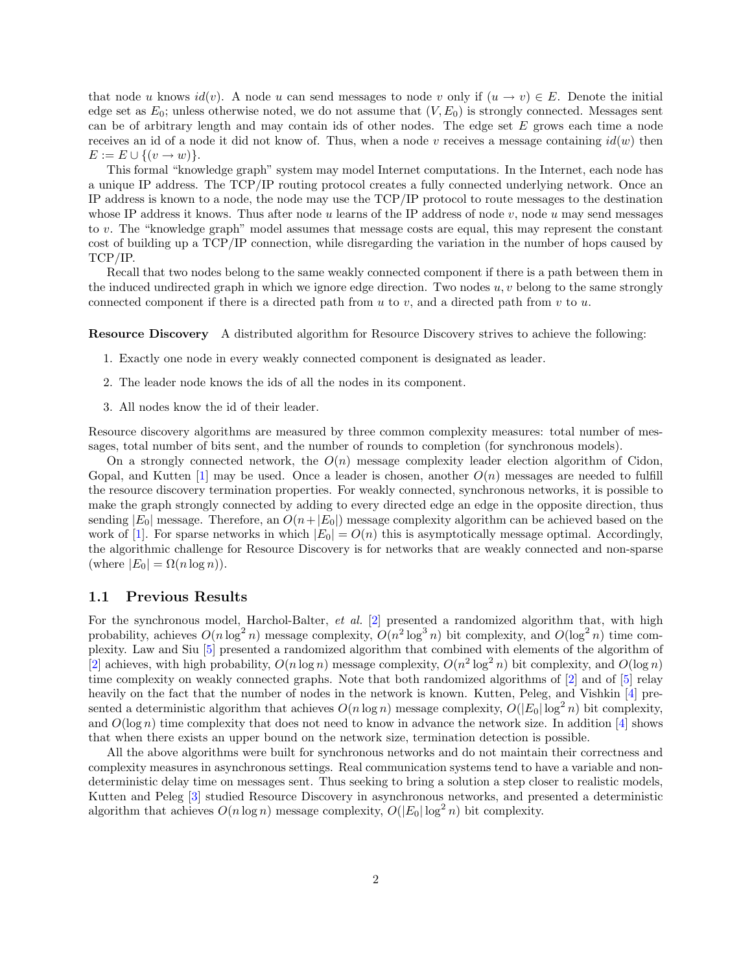that node u knows  $id(v)$ . A node u can send messages to node v only if  $(u \to v) \in E$ . Denote the initial edge set as  $E_0$ ; unless otherwise noted, we do not assume that  $(V, E_0)$  is strongly connected. Messages sent can be of arbitrary length and may contain ids of other nodes. The edge set  $E$  grows each time a node receives an id of a node it did not know of. Thus, when a node v receives a message containing  $id(w)$  then  $E := E \cup \{(v \rightarrow w)\}.$ 

This formal "knowledge graph" system may model Internet computations. In the Internet, each node has a unique IP address. The TCP/IP routing protocol creates a fully connected underlying network. Once an IP address is known to a node, the node may use the TCP/IP protocol to route messages to the destination whose IP address it knows. Thus after node  $u$  learns of the IP address of node  $v$ , node  $u$  may send messages to v. The "knowledge graph" model assumes that message costs are equal, this may represent the constant cost of building up a TCP/IP connection, while disregarding the variation in the number of hops caused by TCP/IP.

Recall that two nodes belong to the same weakly connected component if there is a path between them in the induced undirected graph in which we ignore edge direction. Two nodes  $u, v$  belong to the same strongly connected component if there is a directed path from  $u$  to  $v$ , and a directed path from  $v$  to  $u$ .

Resource Discovery A distributed algorithm for Resource Discovery strives to achieve the following:

- 1. Exactly one node in every weakly connected component is designated as leader.
- 2. The leader node knows the ids of all the nodes in its component.
- 3. All nodes know the id of their leader.

Resource discovery algorithms are measured by three common complexity measures: total number of messages, total number of bits sent, and the number of rounds to completion (for synchronous models).

On a strongly connected network, the  $O(n)$  message complexity leader election algorithm of Cidon, Gopal, and Kutten  $[1]$  may be used. Once a leader is chosen, another  $O(n)$  messages are needed to fulfill the resource discovery termination properties. For weakly connected, synchronous networks, it is possible to make the graph strongly connected by adding to every directed edge an edge in the opposite direction, thus sending  $|E_0|$  message. Therefore, an  $O(n+|E_0|)$  message complexity algorithm can be achieved based on the work of [\[1\]](#page-15-5). For sparse networks in which  $|E_0| = O(n)$  this is asymptotically message optimal. Accordingly, the algorithmic challenge for Resource Discovery is for networks that are weakly connected and non-sparse (where  $|E_0| = \Omega(n \log n)$ ).

#### 1.1 Previous Results

For the synchronous model, Harchol-Balter, et al. [\[2\]](#page-15-0) presented a randomized algorithm that, with high probability, achieves  $O(n \log^2 n)$  message complexity,  $O(n^2 \log^3 n)$  bit complexity, and  $O(\log^2 n)$  time complexity. Law and Siu [\[5\]](#page-15-6) presented a randomized algorithm that combined with elements of the algorithm of [\[2\]](#page-15-0) achieves, with high probability,  $O(n \log n)$  message complexity,  $O(n^2 \log^2 n)$  bit complexity, and  $O(\log n)$ time complexity on weakly connected graphs. Note that both randomized algorithms of [\[2\]](#page-15-0) and of [\[5\]](#page-15-6) relay heavily on the fact that the number of nodes in the network is known. Kutten, Peleg, and Vishkin [\[4\]](#page-15-7) presented a deterministic algorithm that achieves  $O(n \log n)$  message complexity,  $O(|E_0| \log^2 n)$  bit complexity, and  $O(\log n)$  time complexity that does not need to know in advance the network size. In addition [\[4\]](#page-15-7) shows that when there exists an upper bound on the network size, termination detection is possible.

All the above algorithms were built for synchronous networks and do not maintain their correctness and complexity measures in asynchronous settings. Real communication systems tend to have a variable and nondeterministic delay time on messages sent. Thus seeking to bring a solution a step closer to realistic models, Kutten and Peleg [\[3\]](#page-15-1) studied Resource Discovery in asynchronous networks, and presented a deterministic algorithm that achieves  $O(n \log n)$  message complexity,  $O(|E_0| \log^2 n)$  bit complexity.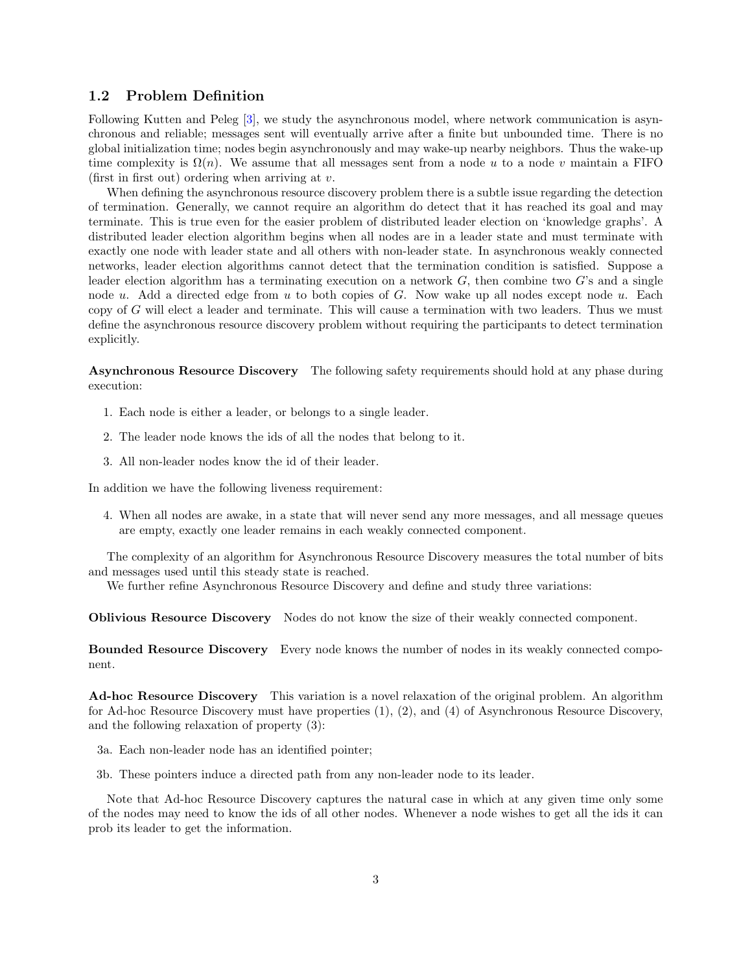### 1.2 Problem Definition

Following Kutten and Peleg [\[3\]](#page-15-1), we study the asynchronous model, where network communication is asynchronous and reliable; messages sent will eventually arrive after a finite but unbounded time. There is no global initialization time; nodes begin asynchronously and may wake-up nearby neighbors. Thus the wake-up time complexity is  $\Omega(n)$ . We assume that all messages sent from a node u to a node v maintain a FIFO (first in first out) ordering when arriving at  $v$ .

When defining the asynchronous resource discovery problem there is a subtle issue regarding the detection of termination. Generally, we cannot require an algorithm do detect that it has reached its goal and may terminate. This is true even for the easier problem of distributed leader election on 'knowledge graphs'. A distributed leader election algorithm begins when all nodes are in a leader state and must terminate with exactly one node with leader state and all others with non-leader state. In asynchronous weakly connected networks, leader election algorithms cannot detect that the termination condition is satisfied. Suppose a leader election algorithm has a terminating execution on a network  $G$ , then combine two  $G$ 's and a single node  $u$ . Add a directed edge from  $u$  to both copies of  $G$ . Now wake up all nodes except node  $u$ . Each copy of G will elect a leader and terminate. This will cause a termination with two leaders. Thus we must define the asynchronous resource discovery problem without requiring the participants to detect termination explicitly.

Asynchronous Resource Discovery The following safety requirements should hold at any phase during execution:

- 1. Each node is either a leader, or belongs to a single leader.
- 2. The leader node knows the ids of all the nodes that belong to it.
- 3. All non-leader nodes know the id of their leader.

In addition we have the following liveness requirement:

4. When all nodes are awake, in a state that will never send any more messages, and all message queues are empty, exactly one leader remains in each weakly connected component.

The complexity of an algorithm for Asynchronous Resource Discovery measures the total number of bits and messages used until this steady state is reached.

We further refine Asynchronous Resource Discovery and define and study three variations:

Oblivious Resource Discovery Nodes do not know the size of their weakly connected component.

Bounded Resource Discovery Every node knows the number of nodes in its weakly connected component.

Ad-hoc Resource Discovery This variation is a novel relaxation of the original problem. An algorithm for Ad-hoc Resource Discovery must have properties (1), (2), and (4) of Asynchronous Resource Discovery, and the following relaxation of property (3):

3a. Each non-leader node has an identified pointer;

3b. These pointers induce a directed path from any non-leader node to its leader.

Note that Ad-hoc Resource Discovery captures the natural case in which at any given time only some of the nodes may need to know the ids of all other nodes. Whenever a node wishes to get all the ids it can prob its leader to get the information.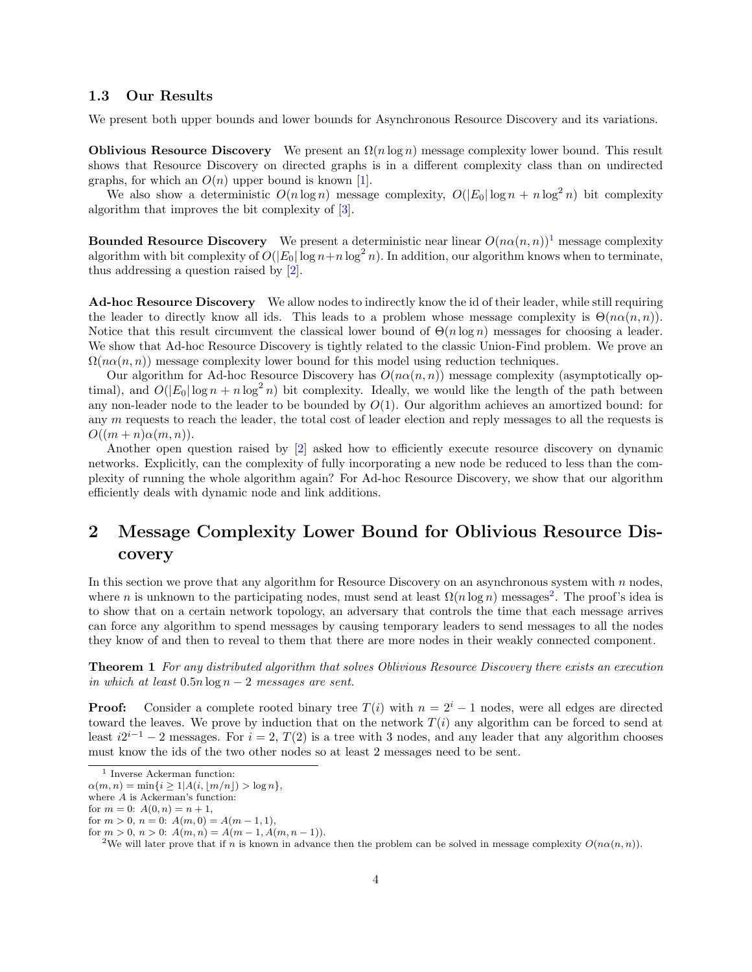### 1.3 Our Results

We present both upper bounds and lower bounds for Asynchronous Resource Discovery and its variations.

**Oblivious Resource Discovery** We present an  $\Omega(n \log n)$  message complexity lower bound. This result shows that Resource Discovery on directed graphs is in a different complexity class than on undirected graphs, for which an  $O(n)$  upper bound is known [\[1\]](#page-15-5).

We also show a deterministic  $O(n \log n)$  message complexity,  $O(|E_0| \log n + n \log^2 n)$  bit complexity algorithm that improves the bit complexity of [\[3\]](#page-15-1).

**Bounded Resource Discovery** We present a deterministic near linear  $O(n\alpha(n, n))^1$  $O(n\alpha(n, n))^1$  message complexity algorithm with bit complexity of  $O(|E_0| \log n + n \log^2 n)$ . In addition, our algorithm knows when to terminate, thus addressing a question raised by [\[2\]](#page-15-0).

Ad-hoc Resource Discovery We allow nodes to indirectly know the id of their leader, while still requiring the leader to directly know all ids. This leads to a problem whose message complexity is  $\Theta(n\alpha(n,n))$ . Notice that this result circumvent the classical lower bound of  $\Theta(n \log n)$  messages for choosing a leader. We show that Ad-hoc Resource Discovery is tightly related to the classic Union-Find problem. We prove an  $\Omega(n\alpha(n,n))$  message complexity lower bound for this model using reduction techniques.

Our algorithm for Ad-hoc Resource Discovery has  $O(n\alpha(n, n))$  message complexity (asymptotically optimal), and  $O(|E_0| \log n + n \log^2 n)$  bit complexity. Ideally, we would like the length of the path between any non-leader node to the leader to be bounded by  $O(1)$ . Our algorithm achieves an amortized bound: for any m requests to reach the leader, the total cost of leader election and reply messages to all the requests is  $O((m+n)\alpha(m,n)).$ 

Another open question raised by [\[2\]](#page-15-0) asked how to efficiently execute resource discovery on dynamic networks. Explicitly, can the complexity of fully incorporating a new node be reduced to less than the complexity of running the whole algorithm again? For Ad-hoc Resource Discovery, we show that our algorithm efficiently deals with dynamic node and link additions.

# 2 Message Complexity Lower Bound for Oblivious Resource Discovery

In this section we prove that any algorithm for Resource Discovery on an asynchronous system with  $n$  nodes, where n is unknown to the participating nodes, must send at least  $\Omega(n \log n)$  messages<sup>[2](#page-3-1)</sup>. The proof's idea is to show that on a certain network topology, an adversary that controls the time that each message arrives can force any algorithm to spend messages by causing temporary leaders to send messages to all the nodes they know of and then to reveal to them that there are more nodes in their weakly connected component.

Theorem 1 For any distributed algorithm that solves Oblivious Resource Discovery there exists an execution in which at least  $0.5n \log n - 2$  messages are sent.

**Proof:** Consider a complete rooted binary tree  $T(i)$  with  $n = 2^{i} - 1$  nodes, were all edges are directed toward the leaves. We prove by induction that on the network  $T(i)$  any algorithm can be forced to send at least  $i2^{i-1} - 2$  messages. For  $i = 2$ ,  $T(2)$  is a tree with 3 nodes, and any leader that any algorithm chooses must know the ids of the two other nodes so at least 2 messages need to be sent.

<span id="page-3-0"></span><sup>1</sup> Inverse Ackerman function:

 $\alpha(m,n) = \min\{i \geq 1 | A(i, \lfloor m/n \rfloor) > \log n\},$ 

where  $A$  is Ackerman's function:

for  $m = 0$ :  $A(0, n) = n + 1$ ,

for  $m > 0$ ,  $n = 0$ :  $A(m, 0) = A(m - 1, 1)$ ,

for  $m > 0$ ,  $n > 0$ :  $A(m, n) = A(m - 1, A(m, n - 1))$ .

<span id="page-3-1"></span><sup>&</sup>lt;sup>2</sup>We will later prove that if n is known in advance then the problem can be solved in message complexity  $O(n\alpha(n,n))$ .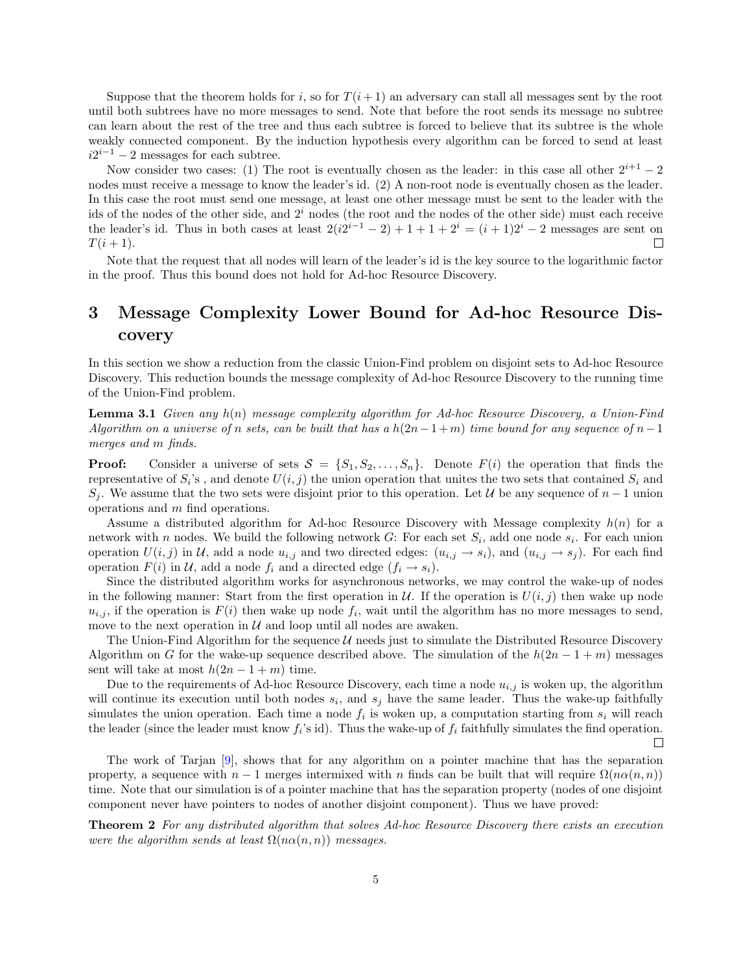Suppose that the theorem holds for i, so for  $T(i+1)$  an adversary can stall all messages sent by the root until both subtrees have no more messages to send. Note that before the root sends its message no subtree can learn about the rest of the tree and thus each subtree is forced to believe that its subtree is the whole weakly connected component. By the induction hypothesis every algorithm can be forced to send at least  $i2^{i-1} - 2$  messages for each subtree.

Now consider two cases: (1) The root is eventually chosen as the leader: in this case all other  $2^{i+1} - 2$ nodes must receive a message to know the leader's id. (2) A non-root node is eventually chosen as the leader. In this case the root must send one message, at least one other message must be sent to the leader with the ids of the nodes of the other side, and  $2<sup>i</sup>$  nodes (the root and the nodes of the other side) must each receive the leader's id. Thus in both cases at least  $2(i2^{i-1} - 2) + 1 + 1 + 2^i = (i + 1)2^i - 2$  messages are sent on  $T(i + 1)$ .  $\Box$ 

Note that the request that all nodes will learn of the leader's id is the key source to the logarithmic factor in the proof. Thus this bound does not hold for Ad-hoc Resource Discovery.

# 3 Message Complexity Lower Bound for Ad-hoc Resource Discovery

In this section we show a reduction from the classic Union-Find problem on disjoint sets to Ad-hoc Resource Discovery. This reduction bounds the message complexity of Ad-hoc Resource Discovery to the running time of the Union-Find problem.

**Lemma 3.1** Given any  $h(n)$  message complexity algorithm for Ad-hoc Resource Discovery, a Union-Find Algorithm on a universe of n sets, can be built that has a  $h(2n-1+m)$  time bound for any sequence of  $n-1$ merges and m finds.

**Proof:** Consider a universe of sets  $S = \{S_1, S_2, \ldots, S_n\}$ . Denote  $F(i)$  the operation that finds the representative of  $S_i$ 's, and denote  $U(i, j)$  the union operation that unites the two sets that contained  $S_i$  and  $S_i$ . We assume that the two sets were disjoint prior to this operation. Let U be any sequence of  $n-1$  union operations and m find operations.

Assume a distributed algorithm for Ad-hoc Resource Discovery with Message complexity  $h(n)$  for a network with n nodes. We build the following network  $G$ : For each set  $S_i$ , add one node  $s_i$ . For each union operation  $U(i, j)$  in U, add a node  $u_{i,j}$  and two directed edges:  $(u_{i,j} \rightarrow s_i)$ , and  $(u_{i,j} \rightarrow s_j)$ . For each find operation  $F(i)$  in U, add a node  $f_i$  and a directed edge  $(f_i \rightarrow s_i)$ .

Since the distributed algorithm works for asynchronous networks, we may control the wake-up of nodes in the following manner: Start from the first operation in  $\mathcal{U}$ . If the operation is  $U(i, j)$  then wake up node  $u_{i,j}$ , if the operation is  $F(i)$  then wake up node  $f_i$ , wait until the algorithm has no more messages to send, move to the next operation in  $U$  and loop until all nodes are awaken.

The Union-Find Algorithm for the sequence  $\mathcal U$  needs just to simulate the Distributed Resource Discovery Algorithm on G for the wake-up sequence described above. The simulation of the  $h(2n-1+m)$  messages sent will take at most  $h(2n-1+m)$  time.

Due to the requirements of Ad-hoc Resource Discovery, each time a node  $u_{i,j}$  is woken up, the algorithm will continue its execution until both nodes  $s_i$ , and  $s_j$  have the same leader. Thus the wake-up faithfully simulates the union operation. Each time a node  $f_i$  is woken up, a computation starting from  $s_i$  will reach the leader (since the leader must know  $f_i$ 's id). Thus the wake-up of  $f_i$  faithfully simulates the find operation.  $\Box$ 

The work of Tarjan [\[9\]](#page-16-1), shows that for any algorithm on a pointer machine that has the separation property, a sequence with  $n-1$  merges intermixed with n finds can be built that will require  $\Omega(n\alpha(n,n))$ time. Note that our simulation is of a pointer machine that has the separation property (nodes of one disjoint component never have pointers to nodes of another disjoint component). Thus we have proved:

Theorem 2 For any distributed algorithm that solves Ad-hoc Resource Discovery there exists an execution were the algorithm sends at least  $\Omega(n\alpha(n,n))$  messages.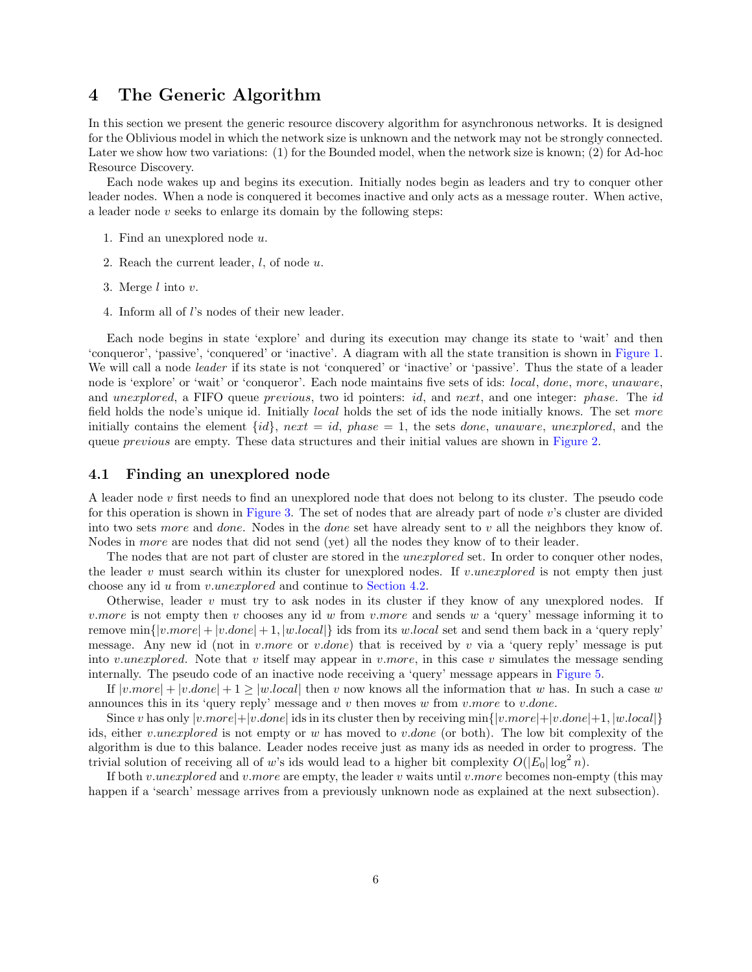### 4 The Generic Algorithm

In this section we present the generic resource discovery algorithm for asynchronous networks. It is designed for the Oblivious model in which the network size is unknown and the network may not be strongly connected. Later we show how two variations: (1) for the Bounded model, when the network size is known; (2) for Ad-hoc Resource Discovery.

Each node wakes up and begins its execution. Initially nodes begin as leaders and try to conquer other leader nodes. When a node is conquered it becomes inactive and only acts as a message router. When active, a leader node  $v$  seeks to enlarge its domain by the following steps:

- 1. Find an unexplored node u.
- 2. Reach the current leader,  $l$ , of node  $u$ .
- 3. Merge  $l$  into  $v$ .
- 4. Inform all of l's nodes of their new leader.

Each node begins in state 'explore' and during its execution may change its state to 'wait' and then 'conqueror', 'passive', 'conquered' or 'inactive'. A diagram with all the state transition is shown in [Figure 1.](#page-6-0) We will call a node *leader* if its state is not 'conquered' or 'inactive' or 'passive'. Thus the state of a leader node is 'explore' or 'wait' or 'conqueror'. Each node maintains five sets of ids: local, done, more, unaware, and unexplored, a FIFO queue previous, two id pointers: id, and next, and one integer: phase. The id field holds the node's unique id. Initially local holds the set of ids the node initially knows. The set more initially contains the element  $\{id\}$ ,  $next = id$ , phase  $= 1$ , the sets done, unaware, unexplored, and the queue previous are empty. These data structures and their initial values are shown in [Figure 2.](#page-6-1)

#### 4.1 Finding an unexplored node

A leader node  $v$  first needs to find an unexplored node that does not belong to its cluster. The pseudo code for this operation is shown in [Figure 3.](#page-7-0) The set of nodes that are already part of node v's cluster are divided into two sets more and done. Nodes in the done set have already sent to  $v$  all the neighbors they know of. Nodes in more are nodes that did not send (yet) all the nodes they know of to their leader.

The nodes that are not part of cluster are stored in the *unexplored* set. In order to conquer other nodes, the leader v must search within its cluster for unexplored nodes. If v.unexplored is not empty then just choose any id u from v.unexplored and continue to [Section 4.2.](#page-6-2)

Otherwise, leader  $v$  must try to ask nodes in its cluster if they know of any unexplored nodes. If v.more is not empty then v chooses any id w from v.more and sends w a 'query' message informing it to remove  $\min\{|v.more| + |v.done| + 1, |w.local|\}$  ids from its w.local set and send them back in a 'query reply' message. Any new id (not in v.more or v.done) that is received by v via a 'query reply' message is put into v.unexplored. Note that v itself may appear in v.more, in this case v simulates the message sending internally. The pseudo code of an inactive node receiving a 'query' message appears in [Figure 5.](#page-9-0)

If  $|v.more| + |v.done| + 1 \ge |w.local|$  then v now knows all the information that w has. In such a case w announces this in its 'query reply' message and  $v$  then moves  $w$  from  $v$ .more to  $v$ .done.

Since v has only  $|v.more|+|v.done|$  ids in its cluster then by receiving  $min\{|v.more|+|v.done|+1, |w.local|\}$ ids, either v.unexplored is not empty or w has moved to v.done (or both). The low bit complexity of the algorithm is due to this balance. Leader nodes receive just as many ids as needed in order to progress. The trivial solution of receiving all of w's ids would lead to a higher bit complexity  $O(|E_0| \log^2 n)$ .

If both v.unexplored and v.more are empty, the leader v waits until v.more becomes non-empty (this may happen if a 'search' message arrives from a previously unknown node as explained at the next subsection).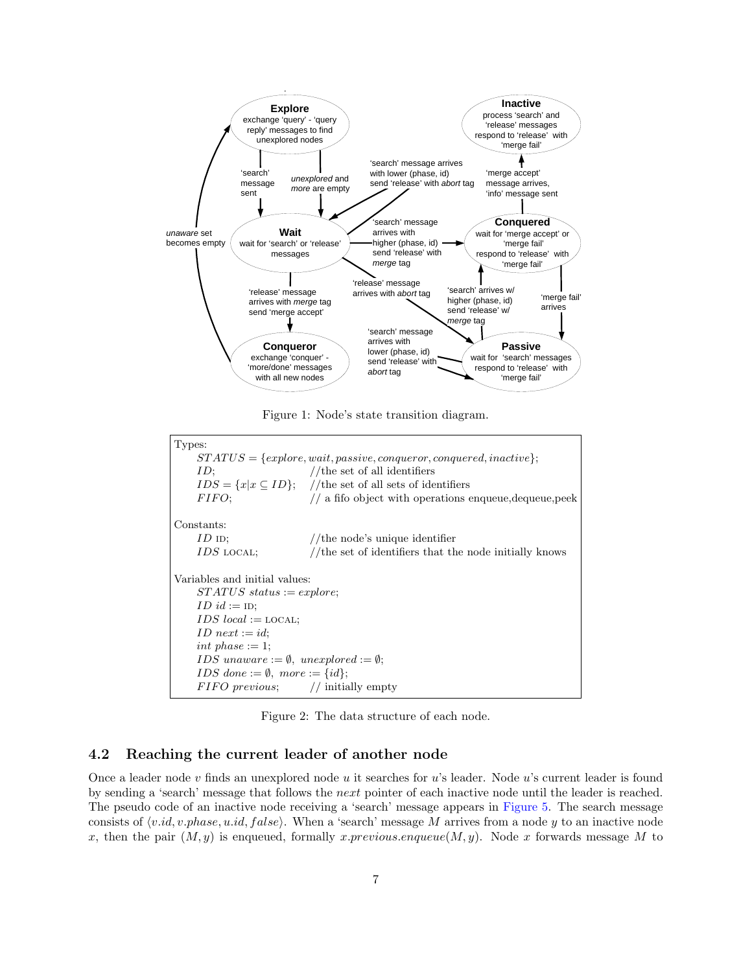

<span id="page-6-0"></span>Figure 1: Node's state transition diagram.

| Types:                                                                 |                                                                      |
|------------------------------------------------------------------------|----------------------------------------------------------------------|
| $STATUS = \{explore, wait, passive, conqueror, conquered, inactive\};$ |                                                                      |
| ID:                                                                    | //the set of all identifiers                                         |
|                                                                        | $IDS = \{x   x \subseteq ID\};$ //the set of all sets of identifiers |
| FIFO:                                                                  | // a fifo object with operations enqueue, dequeue, peek              |
| Constants:                                                             |                                                                      |
| $ID$ id:                                                               | //the node's unique identifier                                       |
| $IDS$ local;                                                           | //the set of identifiers that the node initially knows               |
| Variables and initial values:                                          |                                                                      |
| $STATUS$ status := explore;                                            |                                                                      |
| $ID \textit{id} := ID.$                                                |                                                                      |
| $IDS$ local := LOCAL;                                                  |                                                                      |
| $ID$ next := id;                                                       |                                                                      |
| int phase $:= 1$ ;                                                     |                                                                      |
| <i>IDS</i> unaware := $\emptyset$ , unexplored := $\emptyset$ ;        |                                                                      |
| <i>IDS</i> done := $\emptyset$ , more := {id};                         |                                                                      |
| <i>FIFO previous</i> ; // initially empty                              |                                                                      |

<span id="page-6-1"></span>Figure 2: The data structure of each node.

#### <span id="page-6-2"></span>4.2 Reaching the current leader of another node

Once a leader node  $v$  finds an unexplored node  $u$  it searches for  $u$ 's leader. Node  $u$ 's current leader is found by sending a 'search' message that follows the next pointer of each inactive node until the leader is reached. The pseudo code of an inactive node receiving a 'search' message appears in [Figure 5.](#page-9-0) The search message consists of  $\langle v.id, v.phase, u.id, false \rangle$ . When a 'search' message M arrives from a node y to an inactive node x, then the pair  $(M, y)$  is enqueued, formally x.previous.enqueue $(M, y)$ . Node x forwards message M to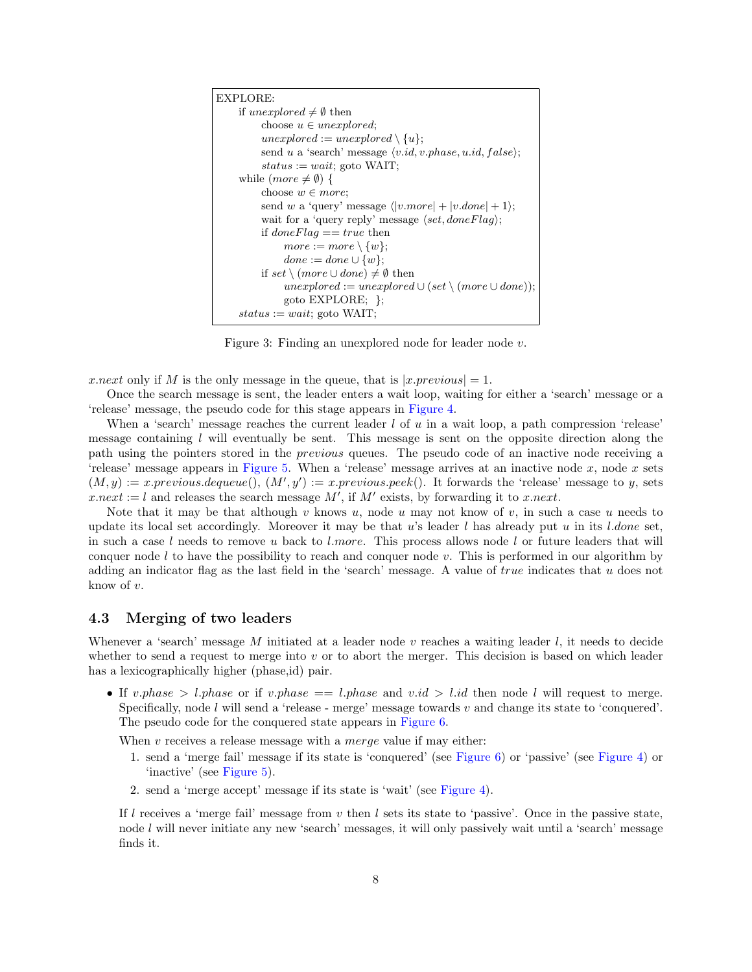```
EXPLORE:
     if unexplored \neq \emptyset then
          choose u \in unexplored;unexplored := unexplored \{u};
          send u a 'search' message \langle v.id, v.phase, u.id, false \rangle;status := wait; goto WAIT;
     while (more \neq \emptyset) {
          choose w \in more;send w a 'query' message \langle |v.more| + |v.done| + 1 \rangle;wait for a 'query reply' message \langle set, doneFlag \rangle;if doneFlag == true then
               more := more \setminus \{w\};done := done \cup \{w\};if set \ (more ∪ done) \neq ≬ then
               unexplored := unexplored \cup (set \ (more \cup done));goto EXPLORE; };
     status := wait; goto WAIT;
```
<span id="page-7-0"></span>Figure 3: Finding an unexplored node for leader node v.

x.next only if M is the only message in the queue, that is  $|x,previous| = 1$ .

Once the search message is sent, the leader enters a wait loop, waiting for either a 'search' message or a 'release' message, the pseudo code for this stage appears in [Figure 4.](#page-8-0)

When a 'search' message reaches the current leader  $l$  of  $u$  in a wait loop, a path compression 'release' message containing  $l$  will eventually be sent. This message is sent on the opposite direction along the path using the pointers stored in the previous queues. The pseudo code of an inactive node receiving a 'release' message appears in [Figure 5.](#page-9-0) When a 'release' message arrives at an inactive node  $x$ , node  $x$  sets  $(M, y) := x \text{.previous}.dequeue(), (M', y') := x \text{.previous}.peek()$ . It forwards the 'release' message to y, sets  $x.next := l$  and releases the search message  $M'$ , if  $M'$  exists, by forwarding it to x.next.

Note that it may be that although v knows  $u$ , node u may not know of  $v$ , in such a case u needs to update its local set accordingly. Moreover it may be that u's leader  $l$  has already put u in its l.done set, in such a case l needs to remove u back to l.more. This process allows node l or future leaders that will conquer node l to have the possibility to reach and conquer node v. This is performed in our algorithm by adding an indicator flag as the last field in the 'search' message. A value of true indicates that u does not know of v.

### 4.3 Merging of two leaders

Whenever a 'search' message M initiated at a leader node v reaches a waiting leader l, it needs to decide whether to send a request to merge into v or to abort the merger. This decision is based on which leader has a lexicographically higher (phase,id) pair.

• If v.phase  $>$  l.phase or if v.phase == l.phase and v.id  $>$  l.id then node l will request to merge. Specifically, node  $l$  will send a 'release - merge' message towards  $v$  and change its state to 'conquered'. The pseudo code for the conquered state appears in [Figure 6.](#page-10-0)

When  $v$  receives a release message with a *merge* value if may either:

- 1. send a 'merge fail' message if its state is 'conquered' (see [Figure 6\)](#page-10-0) or 'passive' (see [Figure 4\)](#page-8-0) or 'inactive' (see [Figure 5\)](#page-9-0).
- 2. send a 'merge accept' message if its state is 'wait' (see [Figure 4\)](#page-8-0).

If l receives a 'merge fail' message from  $v$  then l sets its state to 'passive'. Once in the passive state, node l will never initiate any new 'search' messages, it will only passively wait until a 'search' message finds it.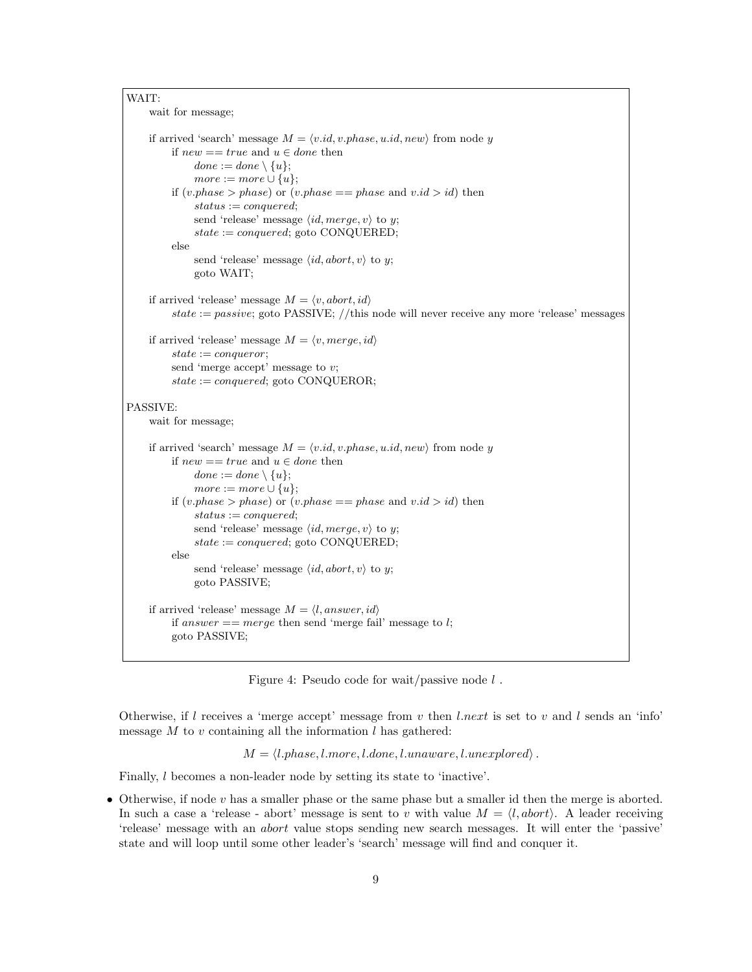```
WAIT:
    wait for message;
    if arrived 'search' message M = \langle v.id, v.phase, u.id, new \rangle from node y
          if new == true and u \in done then
              done := done \setminus \{u\};more := more \cup \{u\};if (v.phase > phase) or (v.phase == phase and v.id > id) then
               status := compared;send 'release' message \langle id, merge, v \rangle to y;
               state := compared; goto CONQUERED;
          else
              send 'release' message \langle id, abort, v \rangle to y;
              goto WAIT;
    if arrived 'release' message M = \langle v, abort, id \ranglestate := passive; goto PASSIVE; //this node will never receive any more 'release' messages
    if arrived 'release' message M = \langle v, merge, id \ranglestate :=conqueror;send 'merge accept' message to v;
          state := compared; goto CONQUEROR;
PASSIVE:
     wait for message;
    if arrived 'search' message M = \langle v.id, v-phase, u.id, new \rangle from node y
          if new == true and u \in done then
              done := done \setminus \{u\};more := more \cup \{u\};if (v.phase > phase) or (v.phase == phase and v.id > id) then
               status := compared;send 'release' message \langle id, merge, v \rangle to y;
               state := compared; goto CONQUERED;else
              send 'release' message \langle id, abort, v \rangle to y;
              goto PASSIVE;
    if arrived 'release' message M = \langle l, answer, id \rangleif answer == merge then send 'merge fail' message to l;
          goto PASSIVE;
```
<span id="page-8-0"></span>Figure 4: Pseudo code for wait/passive node l .

Otherwise, if l receives a 'merge accept' message from v then l.next is set to v and l sends an 'info' message  $M$  to  $v$  containing all the information  $l$  has gathered:

 $M = \langle l.\mathit{phase}, l.\mathit{more}, l.\mathit{done}, l.\mathit{unaware}, l.\mathit{unexplored}\rangle$ .

Finally, l becomes a non-leader node by setting its state to 'inactive'.

• Otherwise, if node  $v$  has a smaller phase or the same phase but a smaller id then the merge is aborted. In such a case a 'release - abort' message is sent to v with value  $M = \langle l, abort \rangle$ . A leader receiving 'release' message with an abort value stops sending new search messages. It will enter the 'passive' state and will loop until some other leader's 'search' message will find and conquer it.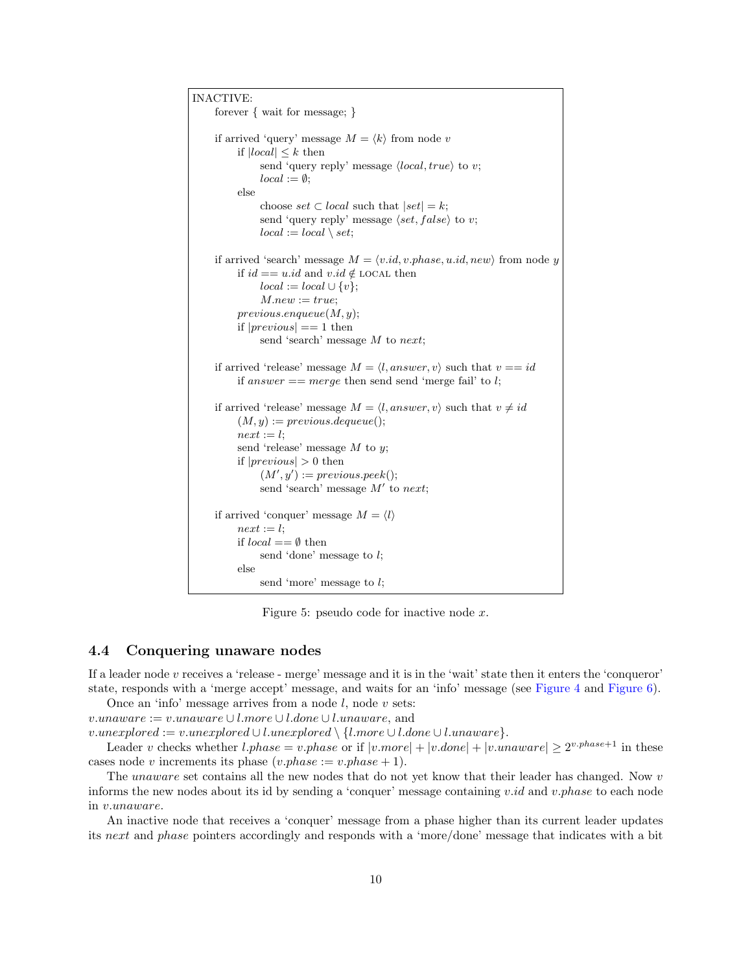```
INACTIVE:
    forever { wait for message; }
    if arrived 'query' message M = \langle k \rangle from node v
          if |local| \leq k then
               send 'query reply' message \langle local, true \rangle to v;
               local := \emptyset:
          else
               choose set \subset local such that |set| = k;
               send 'query reply' message \langle set, false \rangle to v;
               local := local \setminus set;if arrived 'search' message M = \langle v.id, v.phase, u.id, new \rangle from node y
          if id == u.id and v.id \notin LOCAL then
               local := local \cup \{v\};M.new := true;previous. en queue(M, y);if |previous| == 1 then
               send 'search' message M to next;
    if arrived 'release' message M = \langle l, answer, v \rangle such that v == idif answer == merge then send send 'merge fail' to l;
    if arrived 'release' message M = \langle l, answer, v \rangle such that v \neq id(M, y) := previous.dequeue();next := l:
          send 'release' message M to y;
          if |previous| > 0 then
                (M', y') := previous. peek();send 'search' message M' to next;
    if arrived 'conquer' message M = \langle l \ranglenext := l;
          if local == \emptyset then
               send 'done' message to l;
          else
               send 'more' message to l;
```
<span id="page-9-0"></span>Figure 5: pseudo code for inactive node x.

### 4.4 Conquering unaware nodes

If a leader node v receives a 'release - merge' message and it is in the 'wait' state then it enters the 'conqueror' state, responds with a 'merge accept' message, and waits for an 'info' message (see [Figure 4](#page-8-0) and [Figure 6\)](#page-10-0).

Once an 'info' message arrives from a node  $l$ , node  $v$  sets: v.unaware  $:= v.$ unaware ∪ l.more ∪ l.done ∪ l.unaware, and v.unexplored := v.unexplored ∪ l.unexplored \ {l.more ∪ l.done ∪ l.unaware}.

Leader v checks whether l.phase = v.phase or if  $|v.more| + |v.done| + |v.unaware| \geq 2^{v.phase+1}$  in these cases node v increments its phase  $(v.phase := v.phase + 1)$ .

The unaware set contains all the new nodes that do not yet know that their leader has changed. Now  $v$ informs the new nodes about its id by sending a 'conquer' message containing v.id and v.phase to each node in v.unaware.

An inactive node that receives a 'conquer' message from a phase higher than its current leader updates its next and phase pointers accordingly and responds with a 'more/done' message that indicates with a bit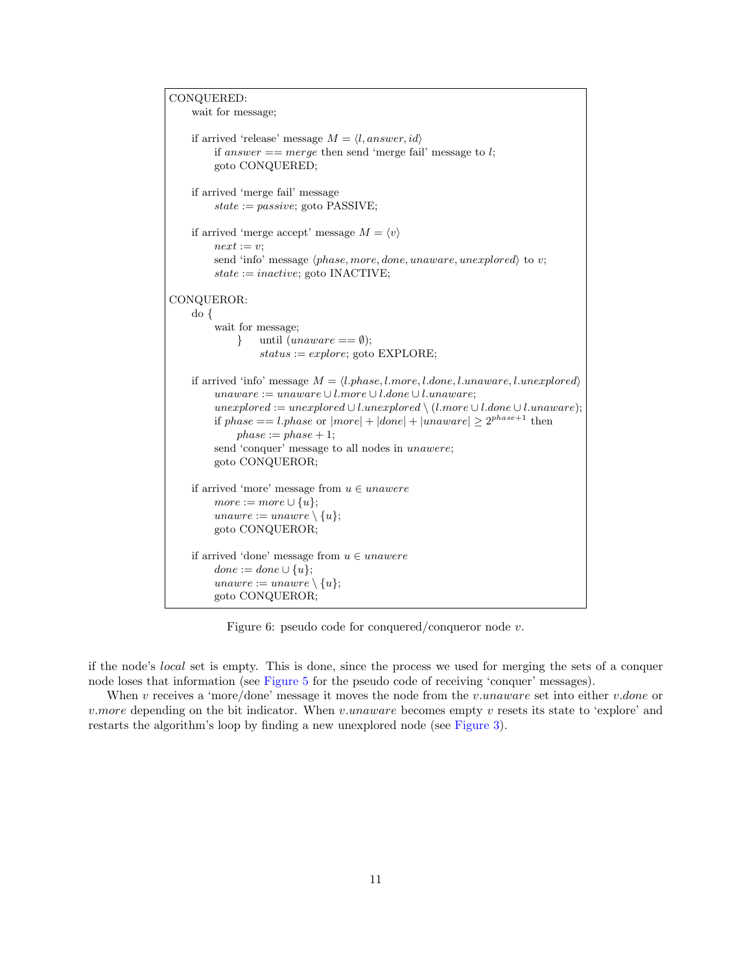```
CONQUERED:
    wait for message;
    if arrived 'release' message M = \langle l, answer, id \rangleif answer = merge then send 'merge fail' message to l;
         goto CONQUERED;
    if arrived 'merge fail' message
         state := passive; goto PASSIVE;
    if arrived 'merge accept' message M = \langle v \ranglenext := v;
         send 'info' message \langle phase, more, done, unaware, unexplored \rangle to v;
         state := inactive; goto INACTIVE;
CONQUEROR:
    do {
         wait for message;
              } until (unaware == \emptyset);status := explore; goto EXPLORE;
    if arrived 'info' message M = \langle l.\text{phase}, l.\text{more}, l.\text{done}, l.\text{unaware}, l.\text{unexplored}\rangleunaware := unaware ∪ l.more ∪ l.done ∪ l.unaware;
         unexplored := unexplored \cup l.unexplored \setminus (l.more \cup l.done \cup l.unaware);if phase == l.phase or |more| + |done| + |unaware| \geq 2^{phase+1} then
              phase := phase + 1;send 'conquer' message to all nodes in unawere;
         goto CONQUEROR;
    if arrived 'more' message from u \in unaweremore := more \cup \{u\};unawre := unawre \setminus \{u\};goto CONQUEROR;
    if arrived 'done' message from u \in unawere
         done := done \cup \{u\};unawre := unawre \setminus \{u\};goto CONQUEROR;
```
<span id="page-10-0"></span>Figure 6: pseudo code for conquered/conqueror node  $v$ .

if the node's local set is empty. This is done, since the process we used for merging the sets of a conquer node loses that information (see [Figure 5](#page-9-0) for the pseudo code of receiving 'conquer' messages).

When v receives a 'more/done' message it moves the node from the v.unaware set into either v.done or v.more depending on the bit indicator. When v.unaware becomes empty v resets its state to 'explore' and restarts the algorithm's loop by finding a new unexplored node (see [Figure 3\)](#page-7-0).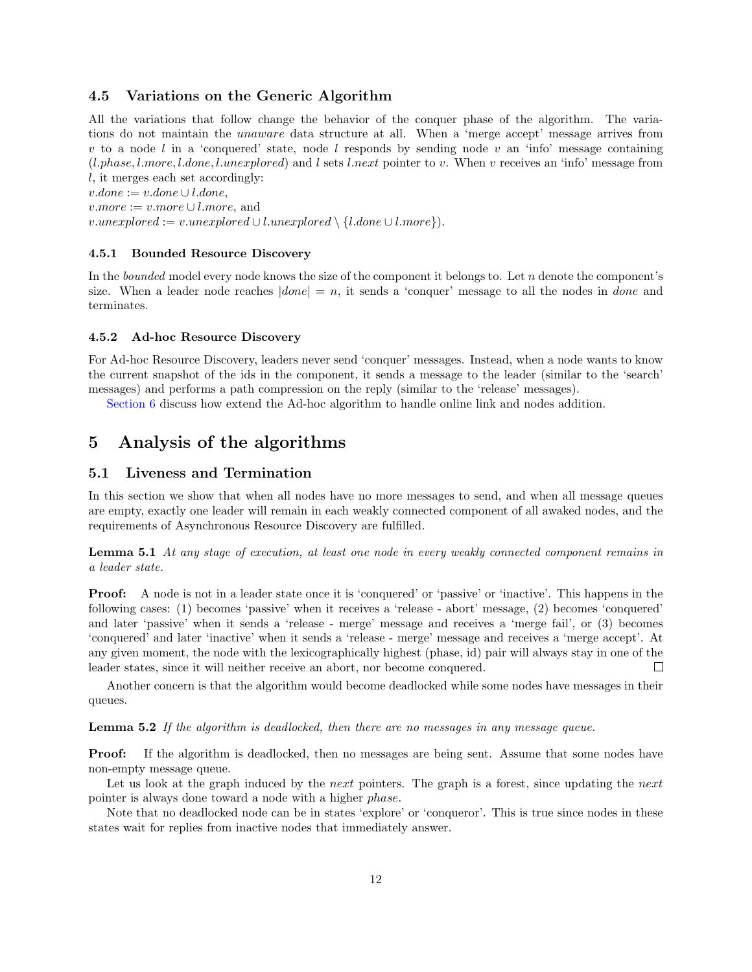#### 4.5 Variations on the Generic Algorithm

All the variations that follow change the behavior of the conquer phase of the algorithm. The variations do not maintain the unaware data structure at all. When a 'merge accept' message arrives from  $v$  to a node l in a 'conquered' state, node l responds by sending node v an 'info' message containing (l.phase, l.more, l.done, l.unexplored) and l sets l.next pointer to v. When v receives an 'info' message from l, it merges each set accordingly:

 $v.done := v.done \cup l.done,$  $v.more := v.more \cup l.more$ , and v.unexplored := v.unexplored ∪ l.unexplored \ {l.done ∪ l.more}).

#### 4.5.1 Bounded Resource Discovery

In the *bounded* model every node knows the size of the component it belongs to. Let  $n$  denote the component's size. When a leader node reaches  $|done| = n$ , it sends a 'conquer' message to all the nodes in *done* and terminates.

#### 4.5.2 Ad-hoc Resource Discovery

For Ad-hoc Resource Discovery, leaders never send 'conquer' messages. Instead, when a node wants to know the current snapshot of the ids in the component, it sends a message to the leader (similar to the 'search' messages) and performs a path compression on the reply (similar to the 'release' messages).

[Section 6](#page-14-0) discuss how extend the Ad-hoc algorithm to handle online link and nodes addition.

# 5 Analysis of the algorithms

#### 5.1 Liveness and Termination

In this section we show that when all nodes have no more messages to send, and when all message queues are empty, exactly one leader will remain in each weakly connected component of all awaked nodes, and the requirements of Asynchronous Resource Discovery are fulfilled.

<span id="page-11-1"></span>Lemma 5.1 At any stage of execution, at least one node in every weakly connected component remains in a leader state.

Proof: A node is not in a leader state once it is 'conquered' or 'passive' or 'inactive'. This happens in the following cases: (1) becomes 'passive' when it receives a 'release - abort' message, (2) becomes 'conquered' and later 'passive' when it sends a 'release - merge' message and receives a 'merge fail', or (3) becomes 'conquered' and later 'inactive' when it sends a 'release - merge' message and receives a 'merge accept'. At any given moment, the node with the lexicographically highest (phase, id) pair will always stay in one of the leader states, since it will neither receive an abort, nor become conquered.

Another concern is that the algorithm would become deadlocked while some nodes have messages in their queues.

<span id="page-11-0"></span>Lemma 5.2 If the algorithm is deadlocked, then there are no messages in any message queue.

Proof: If the algorithm is deadlocked, then no messages are being sent. Assume that some nodes have non-empty message queue.

Let us look at the graph induced by the *next* pointers. The graph is a forest, since updating the *next* pointer is always done toward a node with a higher phase.

Note that no deadlocked node can be in states 'explore' or 'conqueror'. This is true since nodes in these states wait for replies from inactive nodes that immediately answer.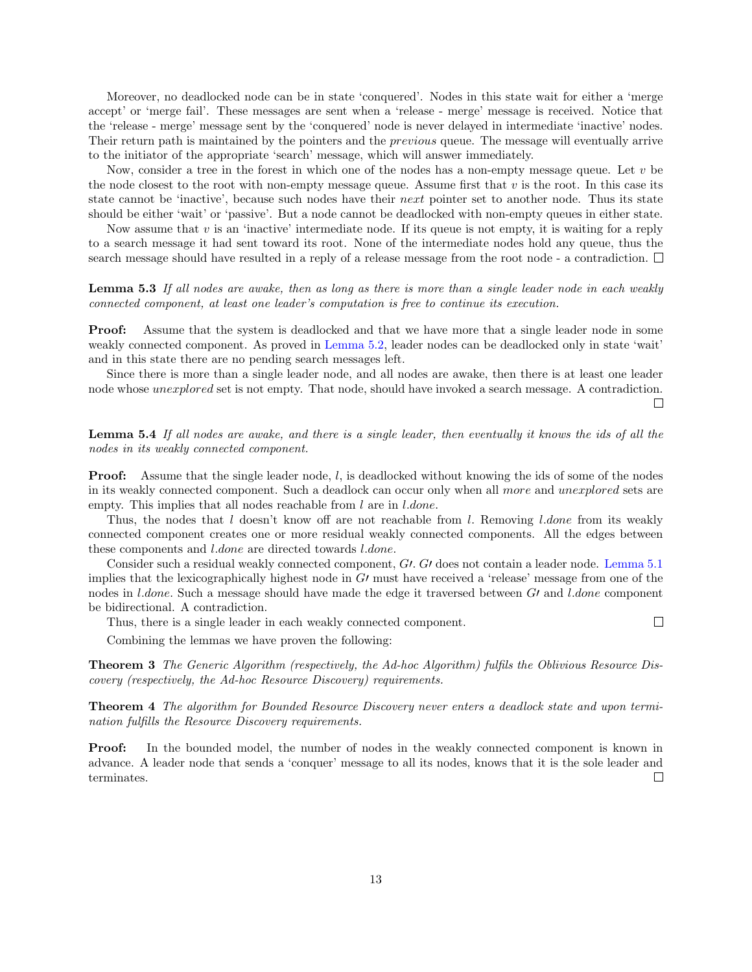Moreover, no deadlocked node can be in state 'conquered'. Nodes in this state wait for either a 'merge accept' or 'merge fail'. These messages are sent when a 'release - merge' message is received. Notice that the 'release - merge' message sent by the 'conquered' node is never delayed in intermediate 'inactive' nodes. Their return path is maintained by the pointers and the *previous* queue. The message will eventually arrive to the initiator of the appropriate 'search' message, which will answer immediately.

Now, consider a tree in the forest in which one of the nodes has a non-empty message queue. Let  $v$  be the node closest to the root with non-empty message queue. Assume first that  $v$  is the root. In this case its state cannot be 'inactive', because such nodes have their *next* pointer set to another node. Thus its state should be either 'wait' or 'passive'. But a node cannot be deadlocked with non-empty queues in either state.

Now assume that  $v$  is an 'inactive' intermediate node. If its queue is not empty, it is waiting for a reply to a search message it had sent toward its root. None of the intermediate nodes hold any queue, thus the search message should have resulted in a reply of a release message from the root node - a contradiction.  $\square$ 

Lemma 5.3 If all nodes are awake, then as long as there is more than a single leader node in each weakly connected component, at least one leader's computation is free to continue its execution.

**Proof:** Assume that the system is deadlocked and that we have more that a single leader node in some weakly connected component. As proved in [Lemma 5.2,](#page-11-0) leader nodes can be deadlocked only in state 'wait' and in this state there are no pending search messages left.

Since there is more than a single leader node, and all nodes are awake, then there is at least one leader node whose *unexplored* set is not empty. That node, should have invoked a search message. A contradiction.  $\Box$ 

Lemma 5.4 If all nodes are awake, and there is a single leader, then eventually it knows the ids of all the nodes in its weakly connected component.

**Proof:** Assume that the single leader node, l, is deadlocked without knowing the ids of some of the nodes in its weakly connected component. Such a deadlock can occur only when all more and unexplored sets are empty. This implies that all nodes reachable from  $l$  are in  $l.done$ .

Thus, the nodes that  $l$  doesn't know off are not reachable from  $l$ . Removing  $l$  done from its weakly connected component creates one or more residual weakly connected components. All the edges between these components and l.done are directed towards l.done.

Consider such a residual weakly connected component,  $G<sub>I</sub>$ .  $G<sub>I</sub>$  does not contain a leader node. [Lemma 5.1](#page-11-1) implies that the lexicographically highest node in  $G<sub>l</sub>$  must have received a 'release' message from one of the nodes in *l.done*. Such a message should have made the edge it traversed between  $G<sup>t</sup>$  and *l.done* component be bidirectional. A contradiction.

Thus, there is a single leader in each weakly connected component.

 $\Box$ 

Combining the lemmas we have proven the following:

Theorem 3 The Generic Algorithm (respectively, the Ad-hoc Algorithm) fulfils the Oblivious Resource Discovery (respectively, the Ad-hoc Resource Discovery) requirements.

Theorem 4 The algorithm for Bounded Resource Discovery never enters a deadlock state and upon termination fulfills the Resource Discovery requirements.

**Proof:** In the bounded model, the number of nodes in the weakly connected component is known in advance. A leader node that sends a 'conquer' message to all its nodes, knows that it is the sole leader and terminates.  $\Box$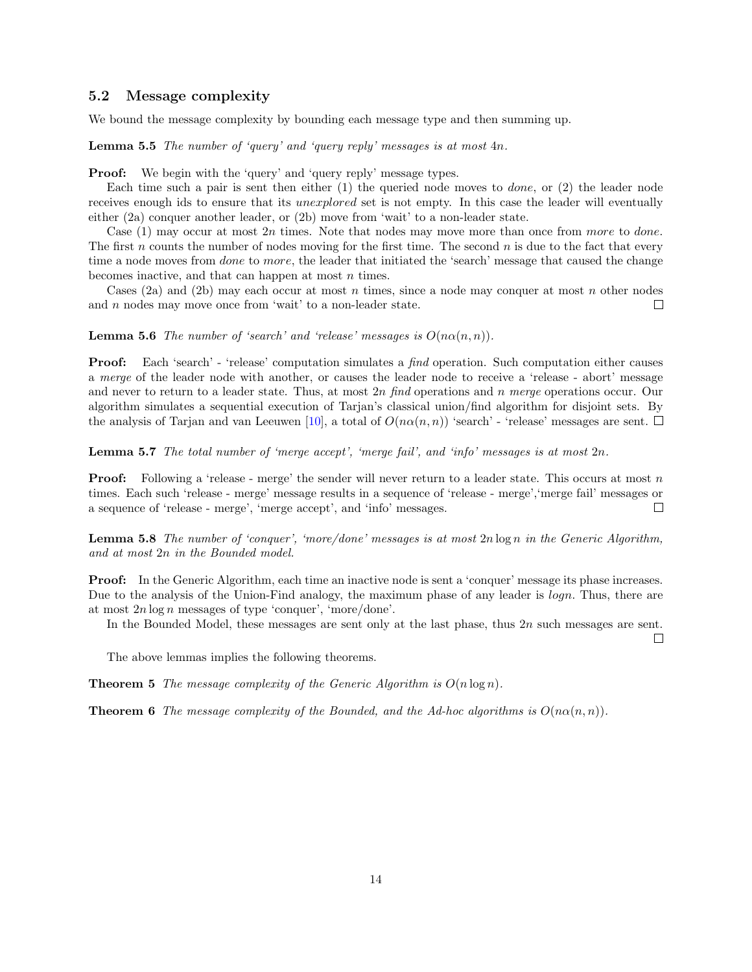#### 5.2 Message complexity

We bound the message complexity by bounding each message type and then summing up.

Lemma 5.5 The number of 'query' and 'query reply' messages is at most 4n.

**Proof:** We begin with the 'query' and 'query reply' message types.

Each time such a pair is sent then either  $(1)$  the queried node moves to *done*, or  $(2)$  the leader node receives enough ids to ensure that its *unexplored* set is not empty. In this case the leader will eventually either (2a) conquer another leader, or (2b) move from 'wait' to a non-leader state.

Case  $(1)$  may occur at most  $2n$  times. Note that nodes may move more than once from more to done. The first n counts the number of nodes moving for the first time. The second  $n$  is due to the fact that every time a node moves from *done* to more, the leader that initiated the 'search' message that caused the change becomes inactive, and that can happen at most n times.

Cases (2a) and (2b) may each occur at most n times, since a node may conquer at most n other nodes and  $n$  nodes may move once from 'wait' to a non-leader state.  $\Box$ 

**Lemma 5.6** The number of 'search' and 'release' messages is  $O(n\alpha(n, n))$ .

Proof: Each 'search' - 'release' computation simulates a find operation. Such computation either causes a merge of the leader node with another, or causes the leader node to receive a 'release - abort' message and never to return to a leader state. Thus, at most  $2n$  find operations and n merge operations occur. Our algorithm simulates a sequential execution of Tarjan's classical union/find algorithm for disjoint sets. By the analysis of Tarjan and van Leeuwen [\[10\]](#page-16-2), a total of  $O(n\alpha(n, n))$  'search' - 'release' messages are sent.  $\Box$ 

**Lemma 5.7** The total number of 'merge accept', 'merge fail', and 'info' messages is at most  $2n$ .

**Proof:** Following a 'release - merge' the sender will never return to a leader state. This occurs at most  $n$ times. Each such 'release - merge' message results in a sequence of 'release - merge','merge fail' messages or a sequence of 'release - merge', 'merge accept', and 'info' messages.  $\Box$ 

**Lemma 5.8** The number of 'conquer', 'more/done' messages is at most  $2n \log n$  in the Generic Algorithm, and at most 2n in the Bounded model.

Proof: In the Generic Algorithm, each time an inactive node is sent a 'conquer' message its phase increases. Due to the analysis of the Union-Find analogy, the maximum phase of any leader is *logn*. Thus, there are at most  $2n \log n$  messages of type 'conquer', 'more/done'.

In the Bounded Model, these messages are sent only at the last phase, thus  $2n$  such messages are sent.

 $\Box$ 

The above lemmas implies the following theorems.

**Theorem 5** The message complexity of the Generic Algorithm is  $O(n \log n)$ .

**Theorem 6** The message complexity of the Bounded, and the Ad-hoc algorithms is  $O(n\alpha(n, n))$ .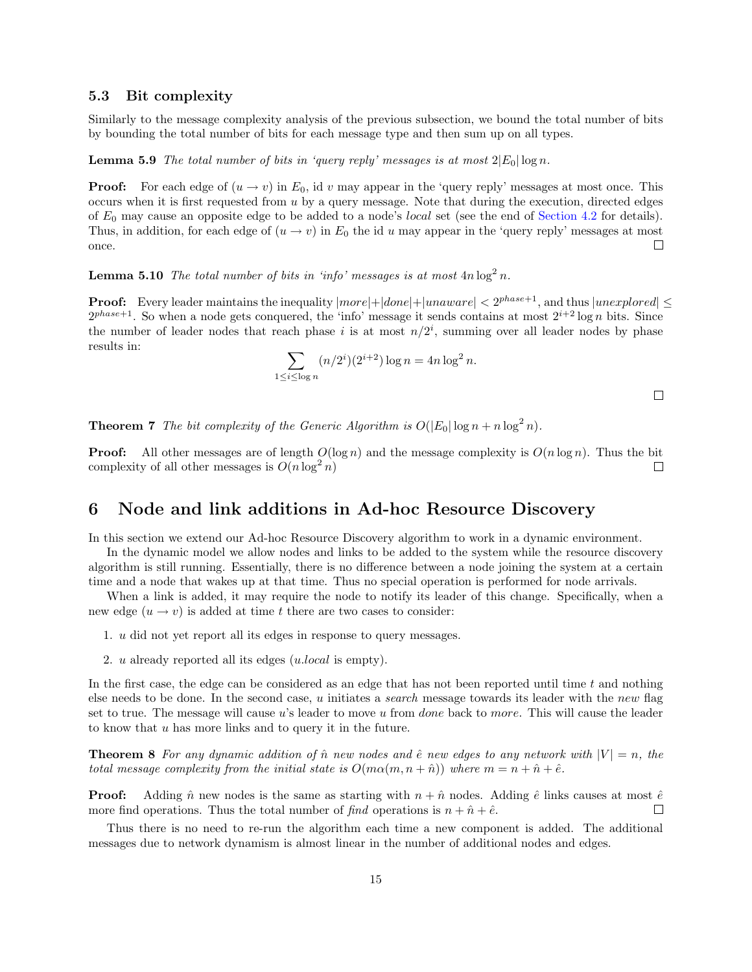#### 5.3 Bit complexity

Similarly to the message complexity analysis of the previous subsection, we bound the total number of bits by bounding the total number of bits for each message type and then sum up on all types.

**Lemma 5.9** The total number of bits in 'query reply' messages is at most  $2|E_0| \log n$ .

**Proof:** For each edge of  $(u \to v)$  in  $E_0$ , id v may appear in the 'query reply' messages at most once. This occurs when it is first requested from  $u$  by a query message. Note that during the execution, directed edges of  $E_0$  may cause an opposite edge to be added to a node's *local* set (see the end of [Section 4.2](#page-6-2) for details). Thus, in addition, for each edge of  $(u \to v)$  in  $E_0$  the id u may appear in the 'query reply' messages at most once.  $\Box$ 

**Lemma 5.10** The total number of bits in 'info' messages is at most  $4n \log^2 n$ .

**Proof:** Every leader maintains the inequality  $|more|+|done|+|unaware| < 2^{phase+1}$ , and thus  $|unexplored| \le$  $2^{phase+1}$ . So when a node gets conquered, the 'info' message it sends contains at most  $2^{i+2} \log n$  bits. Since the number of leader nodes that reach phase i is at most  $n/2^i$ , summing over all leader nodes by phase results in:

$$
\sum_{1 \le i \le \log n} (n/2^i)(2^{i+2}) \log n = 4n \log^2 n.
$$

**Theorem 7** The bit complexity of the Generic Algorithm is  $O(|E_0| \log n + n \log^2 n)$ .

**Proof:** All other messages are of length  $O(\log n)$  and the message complexity is  $O(n \log n)$ . Thus the bit complexity of all other messages is  $O(n \log^2 n)$  $\Box$ 

## <span id="page-14-0"></span>6 Node and link additions in Ad-hoc Resource Discovery

In this section we extend our Ad-hoc Resource Discovery algorithm to work in a dynamic environment.

In the dynamic model we allow nodes and links to be added to the system while the resource discovery algorithm is still running. Essentially, there is no difference between a node joining the system at a certain time and a node that wakes up at that time. Thus no special operation is performed for node arrivals.

When a link is added, it may require the node to notify its leader of this change. Specifically, when a new edge  $(u \rightarrow v)$  is added at time t there are two cases to consider:

- 1. u did not yet report all its edges in response to query messages.
- 2. u already reported all its edges (u.local is empty).

In the first case, the edge can be considered as an edge that has not been reported until time  $t$  and nothing else needs to be done. In the second case, u initiates a search message towards its leader with the new flag set to true. The message will cause u's leader to move u from done back to more. This will cause the leader to know that u has more links and to query it in the future.

**Theorem 8** For any dynamic addition of  $\hat{n}$  new nodes and  $\hat{e}$  new edges to any network with  $|V| = n$ , the total message complexity from the initial state is  $O(m\alpha(m, n + \hat{n}))$  where  $m = n + \hat{n} + \hat{e}$ .

**Proof:** Adding  $\hat{n}$  new nodes is the same as starting with  $n + \hat{n}$  nodes. Adding  $\hat{e}$  links causes at most  $\hat{e}$ more find operations. Thus the total number of find operations is  $n + \hat{n} + \hat{e}$ .  $\Box$ 

Thus there is no need to re-run the algorithm each time a new component is added. The additional messages due to network dynamism is almost linear in the number of additional nodes and edges.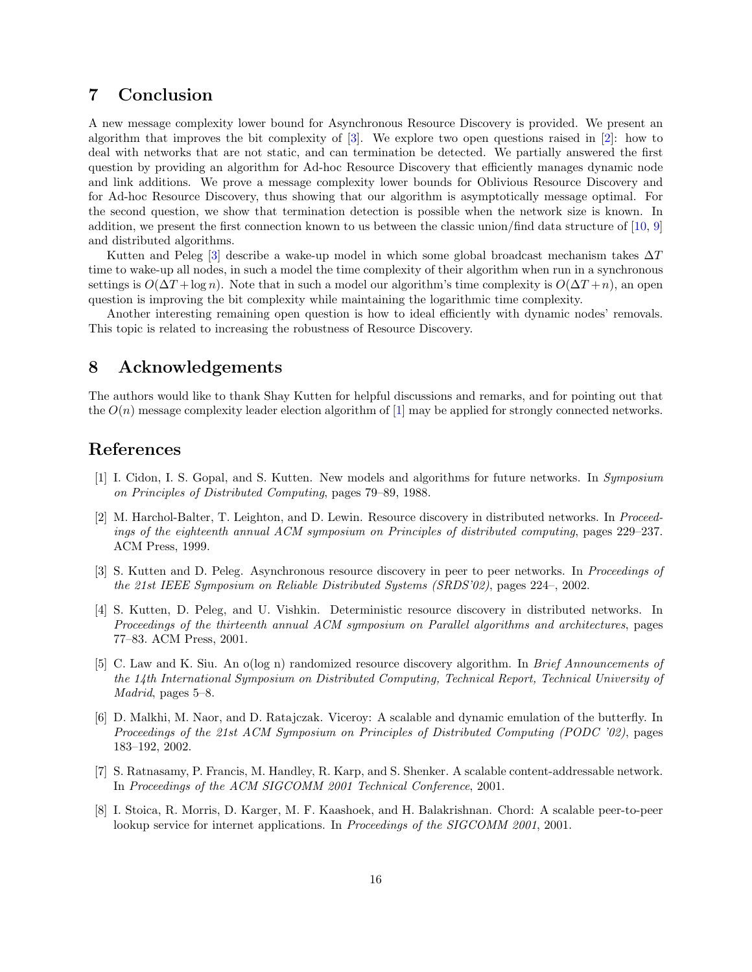# 7 Conclusion

A new message complexity lower bound for Asynchronous Resource Discovery is provided. We present an algorithm that improves the bit complexity of [\[3\]](#page-15-1). We explore two open questions raised in [\[2\]](#page-15-0): how to deal with networks that are not static, and can termination be detected. We partially answered the first question by providing an algorithm for Ad-hoc Resource Discovery that efficiently manages dynamic node and link additions. We prove a message complexity lower bounds for Oblivious Resource Discovery and for Ad-hoc Resource Discovery, thus showing that our algorithm is asymptotically message optimal. For the second question, we show that termination detection is possible when the network size is known. In addition, we present the first connection known to us between the classic union/find data structure of [\[10,](#page-16-2) [9\]](#page-16-1) and distributed algorithms.

Kutten and Peleg [\[3\]](#page-15-1) describe a wake-up model in which some global broadcast mechanism takes  $\Delta T$ time to wake-up all nodes, in such a model the time complexity of their algorithm when run in a synchronous settings is  $O(\Delta T + \log n)$ . Note that in such a model our algorithm's time complexity is  $O(\Delta T + n)$ , an open question is improving the bit complexity while maintaining the logarithmic time complexity.

Another interesting remaining open question is how to ideal efficiently with dynamic nodes' removals. This topic is related to increasing the robustness of Resource Discovery.

## 8 Acknowledgements

The authors would like to thank Shay Kutten for helpful discussions and remarks, and for pointing out that the  $O(n)$  message complexity leader election algorithm of [\[1\]](#page-15-5) may be applied for strongly connected networks.

### References

- <span id="page-15-5"></span>[1] I. Cidon, I. S. Gopal, and S. Kutten. New models and algorithms for future networks. In Symposium on Principles of Distributed Computing, pages 79–89, 1988.
- <span id="page-15-0"></span>[2] M. Harchol-Balter, T. Leighton, and D. Lewin. Resource discovery in distributed networks. In Proceedings of the eighteenth annual ACM symposium on Principles of distributed computing, pages 229–237. ACM Press, 1999.
- <span id="page-15-1"></span>[3] S. Kutten and D. Peleg. Asynchronous resource discovery in peer to peer networks. In Proceedings of the 21st IEEE Symposium on Reliable Distributed Systems (SRDS'02), pages 224–, 2002.
- <span id="page-15-7"></span>[4] S. Kutten, D. Peleg, and U. Vishkin. Deterministic resource discovery in distributed networks. In Proceedings of the thirteenth annual ACM symposium on Parallel algorithms and architectures, pages 77–83. ACM Press, 2001.
- <span id="page-15-6"></span>[5] C. Law and K. Siu. An o(log n) randomized resource discovery algorithm. In Brief Announcements of the 14th International Symposium on Distributed Computing, Technical Report, Technical University of Madrid, pages 5–8.
- <span id="page-15-4"></span>[6] D. Malkhi, M. Naor, and D. Ratajczak. Viceroy: A scalable and dynamic emulation of the butterfly. In Proceedings of the 21st ACM Symposium on Principles of Distributed Computing (PODC '02), pages 183–192, 2002.
- <span id="page-15-2"></span>[7] S. Ratnasamy, P. Francis, M. Handley, R. Karp, and S. Shenker. A scalable content-addressable network. In Proceedings of the ACM SIGCOMM 2001 Technical Conference, 2001.
- <span id="page-15-3"></span>[8] I. Stoica, R. Morris, D. Karger, M. F. Kaashoek, and H. Balakrishnan. Chord: A scalable peer-to-peer lookup service for internet applications. In Proceedings of the SIGCOMM 2001, 2001.